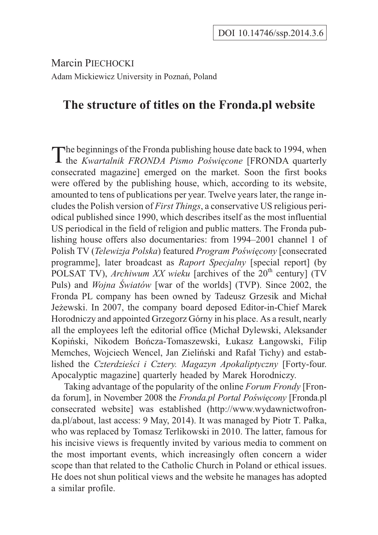Marcin PIECHOCKI Adam Mickiewicz University in Poznañ, Poland

# **The structure of titles on the Fronda.pl website**

The beginnings of the Fronda publishing house date back to 1994, when **1** the *Kwartalnik FRONDA Pismo Poświęcone* [FRONDA quarterly consecrated magazine] emerged on the market. Soon the first books were offered by the publishing house, which, according to its website, amounted to tens of publications per year. Twelve years later, the range includes the Polish version of *First Things*, a conservative US religious periodical published since 1990, which describes itself as the most influential US periodical in the field of religion and public matters. The Fronda publishing house offers also documentaries: from 1994–2001 channel 1 of Polish TV (*Telewizja Polska*) featured *Program Poświęcony* [consecrated] programme], later broadcast as *Raport Specjalny* [special report] (by POLSAT TV), *Archiwum XX wieku* [archives of the 20<sup>th</sup> century] (TV Puls) and *Wojna Światów* [war of the worlds] (TVP). Since 2002, the Fronda PL company has been owned by Tadeusz Grzesik and Michał Jeżewski. In 2007, the company board deposed Editor-in-Chief Marek Horodniczy and appointed Grzegorz Górny in his place. As a result, nearly all the employees left the editorial office (Michał Dylewski, Aleksander Kopiñski, Nikodem Boñcza-Tomaszewski, £ukasz £angowski, Filip Memches, Wojciech Wencel, Jan Zieliński and Rafał Tichy) and established the *Czterdzieści i Cztery. Magazyn Apokaliptyczny* [Forty-four. Apocalyptic magazine] quarterly headed by Marek Horodniczy.

Taking advantage of the popularity of the online *Forum Frondy* [Fronda forum], in November 2008 the *Fronda.pl Portal Poświęcony* [Fronda.pl] consecrated website] was established (http://www.wydawnictwofron $da.pl/about$ , last access: 9 May, 2014). It was managed by Piotr T. Pałka, who was replaced by Tomasz Terlikowski in 2010. The latter, famous for his incisive views is frequently invited by various media to comment on the most important events, which increasingly often concern a wider scope than that related to the Catholic Church in Poland or ethical issues. He does not shun political views and the website he manages has adopted a similar profile.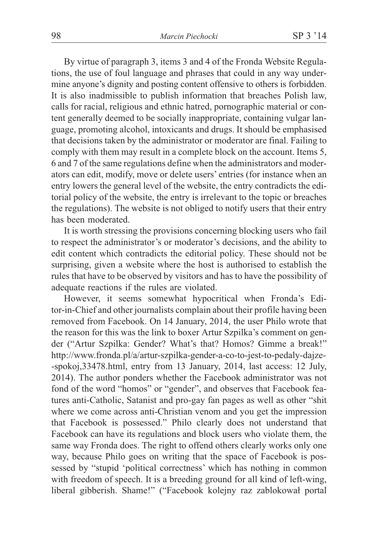By virtue of paragraph 3, items 3 and 4 of the Fronda Website Regulations, the use of foul language and phrases that could in any way undermine anyone's dignity and posting content offensive to others is forbidden. It is also inadmissible to publish information that breaches Polish law, calls for racial, religious and ethnic hatred, pornographic material or content generally deemed to be socially inappropriate, containing vulgar language, promoting alcohol, intoxicants and drugs. It should be emphasised that decisions taken by the administrator or moderator are final. Failing to comply with them may result in a complete block on the account. Items 5, 6 and 7 of the same regulations define when the administrators and moderators can edit, modify, move or delete users' entries (for instance when an entry lowers the general level of the website, the entry contradicts the editorial policy of the website, the entry is irrelevant to the topic or breaches the regulations). The website is not obliged to notify users that their entry has been moderated.

It is worth stressing the provisions concerning blocking users who fail to respect the administrator's or moderator's decisions, and the ability to edit content which contradicts the editorial policy. These should not be surprising, given a website where the host is authorised to establish the rules that have to be observed by visitors and has to have the possibility of adequate reactions if the rules are violated.

However, it seems somewhat hypocritical when Fronda's Editor-in-Chief and other journalists complain about their profile having been removed from Facebook. On 14 January, 2014, the user Philo wrote that the reason for this was the link to boxer Artur Szpilka's comment on gender ("Artur Szpilka: Gender? What's that? Homos? Gimme a break!" http://www.fronda.pl/a/artur-szpilka-gender-a-co-to-jest-to-pedaly-dajze- -spokoj,33478.html, entry from 13 January, 2014, last access: 12 July, 2014). The author ponders whether the Facebook administrator was not fond of the word "homos" or "gender", and observes that Facebook features anti-Catholic, Satanist and pro-gay fan pages as well as other "shit where we come across anti-Christian venom and you get the impression that Facebook is possessed." Philo clearly does not understand that Facebook can have its regulations and block users who violate them, the same way Fronda does. The right to offend others clearly works only one way, because Philo goes on writing that the space of Facebook is possessed by "stupid 'political correctness' which has nothing in common with freedom of speech. It is a breeding ground for all kind of left-wing, liberal gibberish. Shame!" ("Facebook kolejny raz zablokował portal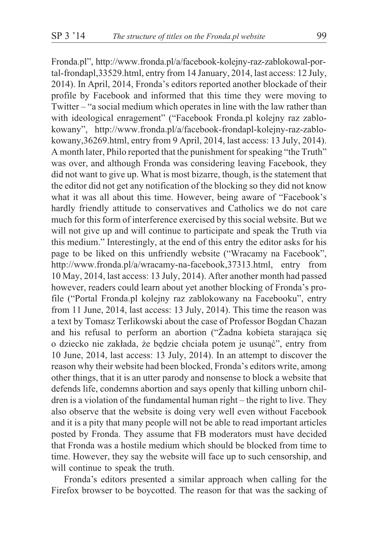Fronda.pl", http://www.fronda.pl/a/facebook-kolejny-raz-zablokowal-portal-frondapl,33529.html, entry from 14 January, 2014, last access: 12 July, 2014). In April, 2014, Fronda's editors reported another blockade of their profile by Facebook and informed that this time they were moving to Twitter – "a social medium which operates in line with the law rather than with ideological enragement" ("Facebook Fronda.pl kolejny raz zablokowany", http://www.fronda.pl/a/facebook-frondapl-kolejny-raz-zablokowany,36269.html, entry from 9 April, 2014, last access: 13 July, 2014). A month later, Philo reported that the punishment for speaking "the Truth" was over, and although Fronda was considering leaving Facebook, they did not want to give up. What is most bizarre, though, is the statement that the editor did not get any notification of the blocking so they did not know what it was all about this time. However, being aware of "Facebook's hardly friendly attitude to conservatives and Catholics we do not care much for this form of interference exercised by this social website. But we will not give up and will continue to participate and speak the Truth via this medium." Interestingly, at the end of this entry the editor asks for his page to be liked on this unfriendly website ("Wracamy na Facebook", http://www.fronda.pl/a/wracamy-na-facebook,37313.html, entry from 10 May, 2014, last access: 13 July, 2014). After another month had passed however, readers could learn about yet another blocking of Fronda's profile ("Portal Fronda.pl kolejny raz zablokowany na Facebooku", entry from 11 June, 2014, last access: 13 July, 2014). This time the reason was a text by Tomasz Terlikowski about the case of Professor Bogdan Chazan and his refusal to perform an abortion ("Żadna kobieta starająca się o dziecko nie zakłada, że będzie chciała potem je usunąć", entry from 10 June, 2014, last access: 13 July, 2014). In an attempt to discover the reason why their website had been blocked, Fronda's editors write, among other things, that it is an utter parody and nonsense to block a website that defends life, condemns abortion and says openly that killing unborn children is a violation of the fundamental human right – the right to live. They also observe that the website is doing very well even without Facebook and it is a pity that many people will not be able to read important articles posted by Fronda. They assume that FB moderators must have decided that Fronda was a hostile medium which should be blocked from time to time. However, they say the website will face up to such censorship, and

Fronda's editors presented a similar approach when calling for the Firefox browser to be boycotted. The reason for that was the sacking of

will continue to speak the truth.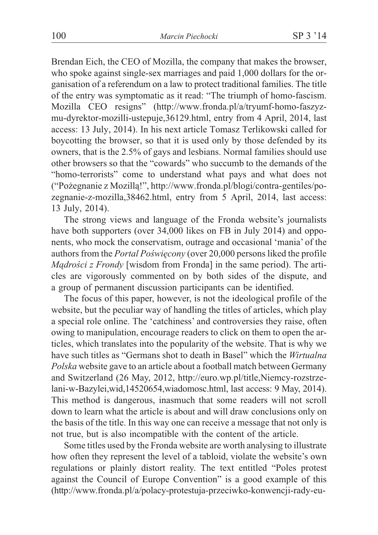Brendan Eich, the CEO of Mozilla, the company that makes the browser, who spoke against single-sex marriages and paid 1,000 dollars for the organisation of a referendum on a law to protect traditional families. The title of the entry was symptomatic as it read: "The triumph of homo-fascism. Mozilla CEO resigns" (http://www.fronda.pl/a/tryumf-homo-faszyzmu-dyrektor-mozilli-ustepuje,36129.html, entry from 4 April, 2014, last access: 13 July, 2014). In his next article Tomasz Terlikowski called for boycotting the browser, so that it is used only by those defended by its owners, that is the 2.5% of gays and lesbians. Normal families should use other browsers so that the "cowards" who succumb to the demands of the "homo-terrorists" come to understand what pays and what does not ("Po¿egnanie z Mozill¹!", http://www.fronda.pl/blogi/contra-gentiles/pozegnanie-z-mozilla,38462.html, entry from 5 April, 2014, last access: 13 July, 2014).

The strong views and language of the Fronda website's journalists have both supporters (over 34,000 likes on FB in July 2014) and opponents, who mock the conservatism, outrage and occasional 'mania' of the authors from the *Portal Poświęcony* (over 20,000 persons liked the profile *Madrości z Frondy* [wisdom from Fronda] in the same period). The articles are vigorously commented on by both sides of the dispute, and a group of permanent discussion participants can be identified.

The focus of this paper, however, is not the ideological profile of the website, but the peculiar way of handling the titles of articles, which play a special role online. The 'catchiness' and controversies they raise, often owing to manipulation, encourage readers to click on them to open the articles, which translates into the popularity of the website. That is why we have such titles as "Germans shot to death in Basel" which the *Wirtualna Polska* website gave to an article about a football match between Germany and Switzerland (26 May, 2012, http://euro.wp.pl/title,Niemcy-rozstrzelani-w-Bazylei,wid,14520654,wiadomosc.html, last access: 9 May, 2014). This method is dangerous, inasmuch that some readers will not scroll down to learn what the article is about and will draw conclusions only on the basis of the title. In this way one can receive a message that not only is not true, but is also incompatible with the content of the article.

Some titles used by the Fronda website are worth analysing to illustrate how often they represent the level of a tabloid, violate the website's own regulations or plainly distort reality. The text entitled "Poles protest against the Council of Europe Convention" is a good example of this (http://www.fronda.pl/a/polacy-protestuja-przeciwko-konwencji-rady-eu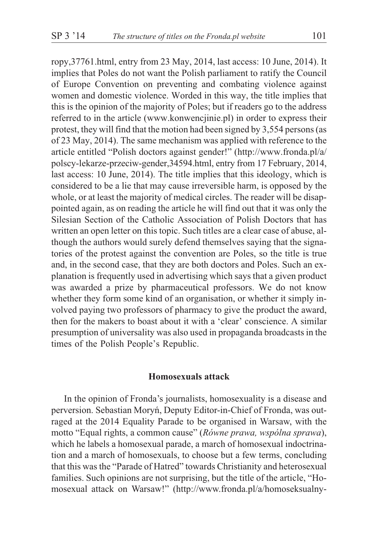ropy,37761.html, entry from 23 May, 2014, last access: 10 June, 2014). It implies that Poles do not want the Polish parliament to ratify the Council of Europe Convention on preventing and combating violence against women and domestic violence. Worded in this way, the title implies that this is the opinion of the majority of Poles; but if readers go to the address referred to in the article (www.konwencjinie.pl) in order to express their protest, they will find that the motion had been signed by 3,554 persons (as of 23 May, 2014). The same mechanism was applied with reference to the article entitled "Polish doctors against gender!" (http://www.fronda.pl/a/ polscy-lekarze-przeciw-gender,34594.html, entry from 17 February, 2014, last access: 10 June, 2014). The title implies that this ideology, which is considered to be a lie that may cause irreversible harm, is opposed by the whole, or at least the majority of medical circles. The reader will be disappointed again, as on reading the article he will find out that it was only the Silesian Section of the Catholic Association of Polish Doctors that has written an open letter on this topic. Such titles are a clear case of abuse, although the authors would surely defend themselves saying that the signatories of the protest against the convention are Poles, so the title is true and, in the second case, that they are both doctors and Poles. Such an explanation is frequently used in advertising which says that a given product was awarded a prize by pharmaceutical professors. We do not know whether they form some kind of an organisation, or whether it simply involved paying two professors of pharmacy to give the product the award, then for the makers to boast about it with a 'clear' conscience. A similar presumption of universality was also used in propaganda broadcasts in the times of the Polish People's Republic.

## **Homosexuals attack**

In the opinion of Fronda's journalists, homosexuality is a disease and perversion. Sebastian Moryñ, Deputy Editor-in-Chief of Fronda, was outraged at the 2014 Equality Parade to be organised in Warsaw, with the motto "Equal rights, a common cause" (*Równe prawa, wspólna sprawa*), which he labels a homosexual parade, a march of homosexual indoctrination and a march of homosexuals, to choose but a few terms, concluding that this was the "Parade of Hatred" towards Christianity and heterosexual families. Such opinions are not surprising, but the title of the article, "Homosexual attack on Warsaw!" (http://www.fronda.pl/a/homoseksualny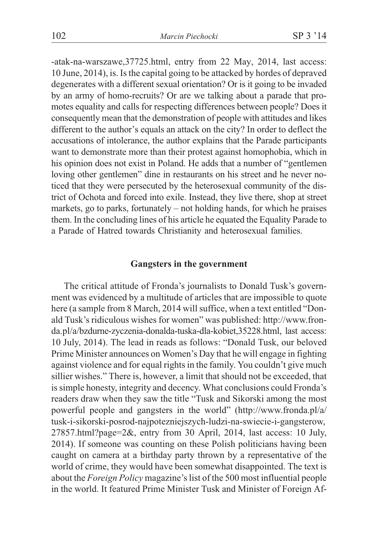-atak-na-warszawe,37725.html, entry from 22 May, 2014, last access: 10 June, 2014), is. Is the capital going to be attacked by hordes of depraved degenerates with a different sexual orientation? Or is it going to be invaded by an army of homo-recruits? Or are we talking about a parade that promotes equality and calls for respecting differences between people? Does it consequently mean that the demonstration of people with attitudes and likes different to the author's equals an attack on the city? In order to deflect the accusations of intolerance, the author explains that the Parade participants want to demonstrate more than their protest against homophobia, which in his opinion does not exist in Poland. He adds that a number of "gentlemen loving other gentlemen" dine in restaurants on his street and he never noticed that they were persecuted by the heterosexual community of the district of Ochota and forced into exile. Instead, they live there, shop at street markets, go to parks, fortunately – not holding hands, for which he praises them. In the concluding lines of his article he equated the Equality Parade to a Parade of Hatred towards Christianity and heterosexual families.

## **Gangsters in the government**

The critical attitude of Fronda's journalists to Donald Tusk's government was evidenced by a multitude of articles that are impossible to quote here (a sample from 8 March, 2014 will suffice, when a text entitled "Donald Tusk's ridiculous wishes for women" was published: http://www.fronda.pl/a/bzdurne-zyczenia-donalda-tuska-dla-kobiet,35228.html, last access: 10 July, 2014). The lead in reads as follows: "Donald Tusk, our beloved Prime Minister announces on Women's Day that he will engage in fighting against violence and for equal rights in the family. You couldn't give much sillier wishes." There is, however, a limit that should not be exceeded, that is simple honesty, integrity and decency. What conclusions could Fronda's readers draw when they saw the title "Tusk and Sikorski among the most powerful people and gangsters in the world" (http://www.fronda.pl/a/ tusk-i-sikorski-posrod-najpotezniejszych-ludzi-na-swiecie-i-gangsterow, 27857.html?page=2&, entry from 30 April, 2014, last access: 10 July, 2014). If someone was counting on these Polish politicians having been caught on camera at a birthday party thrown by a representative of the world of crime, they would have been somewhat disappointed. The text is about the *Foreign Policy* magazine's list of the 500 most influential people in the world. It featured Prime Minister Tusk and Minister of Foreign Af-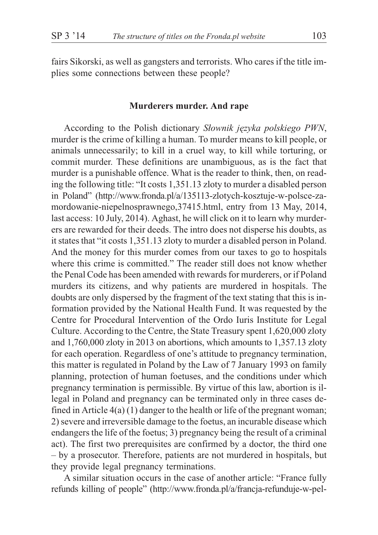fairs Sikorski, as well as gangsters and terrorists. Who cares if the title implies some connections between these people?

#### **Murderers murder. And rape**

According to the Polish dictionary *Słownik języka polskiego PWN*, murder is the crime of killing a human. To murder means to kill people, or animals unnecessarily; to kill in a cruel way, to kill while torturing, or commit murder. These definitions are unambiguous, as is the fact that murder is a punishable offence. What is the reader to think, then, on reading the following title: "It costs 1,351.13 zloty to murder a disabled person in Poland" (http://www.fronda.pl/a/135113-zlotych-kosztuje-w-polsce-zamordowanie-niepelnosprawnego,37415.html, entry from 13 May, 2014, last access: 10 July, 2014). Aghast, he will click on it to learn why murderers are rewarded for their deeds. The intro does not disperse his doubts, as it states that "it costs 1,351.13 zloty to murder a disabled person in Poland. And the money for this murder comes from our taxes to go to hospitals where this crime is committed." The reader still does not know whether the Penal Code has been amended with rewards for murderers, or if Poland murders its citizens, and why patients are murdered in hospitals. The doubts are only dispersed by the fragment of the text stating that this is information provided by the National Health Fund. It was requested by the Centre for Procedural Intervention of the Ordo Iuris Institute for Legal Culture. According to the Centre, the State Treasury spent 1,620,000 zloty and 1,760,000 zloty in 2013 on abortions, which amounts to 1,357.13 zloty for each operation. Regardless of one's attitude to pregnancy termination, this matter is regulated in Poland by the Law of 7 January 1993 on family planning, protection of human foetuses, and the conditions under which pregnancy termination is permissible. By virtue of this law, abortion is illegal in Poland and pregnancy can be terminated only in three cases defined in Article  $4(a)$  (1) danger to the health or life of the pregnant woman; 2) severe and irreversible damage to the foetus, an incurable disease which endangers the life of the foetus; 3) pregnancy being the result of a criminal act). The first two prerequisites are confirmed by a doctor, the third one – by a prosecutor. Therefore, patients are not murdered in hospitals, but they provide legal pregnancy terminations.

A similar situation occurs in the case of another article: "France fully refunds killing of people" (http://www.fronda.pl/a/francja-refunduje-w-pel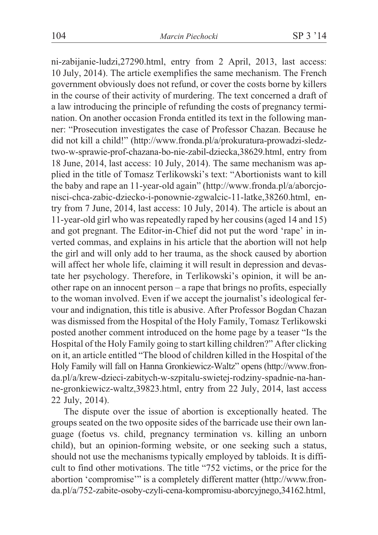ni-zabijanie-ludzi,27290.html, entry from 2 April, 2013, last access: 10 July, 2014). The article exemplifies the same mechanism. The French government obviously does not refund, or cover the costs borne by killers in the course of their activity of murdering. The text concerned a draft of a law introducing the principle of refunding the costs of pregnancy termination. On another occasion Fronda entitled its text in the following manner: "Prosecution investigates the case of Professor Chazan. Because he did not kill a child!" (http://www.fronda.pl/a/prokuratura-prowadzi-sledztwo-w-sprawie-prof-chazana-bo-nie-zabil-dziecka,38629.html, entry from 18 June, 2014, last access: 10 July, 2014). The same mechanism was applied in the title of Tomasz Terlikowski's text: "Abortionists want to kill the baby and rape an 11-year-old again" (http://www.fronda.pl/a/aborcjonisci-chca-zabic-dziecko-i-ponownie-zgwalcic-11-latke,38260.html, entry from 7 June, 2014, last access: 10 July, 2014). The article is about an 11-year-old girl who was repeatedly raped by her cousins (aged 14 and 15) and got pregnant. The Editor-in-Chief did not put the word 'rape' in inverted commas, and explains in his article that the abortion will not help the girl and will only add to her trauma, as the shock caused by abortion will affect her whole life, claiming it will result in depression and devastate her psychology. Therefore, in Terlikowski's opinion, it will be another rape on an innocent person – a rape that brings no profits, especially to the woman involved. Even if we accept the journalist's ideological fervour and indignation, this title is abusive. After Professor Bogdan Chazan was dismissed from the Hospital of the Holy Family, Tomasz Terlikowski posted another comment introduced on the home page by a teaser "Is the Hospital of the Holy Family going to start killing children?" After clicking on it, an article entitled "The blood of children killed in the Hospital of the Holy Family will fall on Hanna Gronkiewicz-Waltz" opens (http://www.fronda.pl/a/krew-dzieci-zabitych-w-szpitalu-swietej-rodziny-spadnie-na-hanne-gronkiewicz-waltz,39823.html, entry from 22 July, 2014, last access 22 July, 2014).

The dispute over the issue of abortion is exceptionally heated. The groups seated on the two opposite sides of the barricade use their own language (foetus vs. child, pregnancy termination vs. killing an unborn child), but an opinion-forming website, or one seeking such a status, should not use the mechanisms typically employed by tabloids. It is difficult to find other motivations. The title "752 victims, or the price for the abortion 'compromise'" is a completely different matter (http://www.fronda.pl/a/752-zabite-osoby-czyli-cena-kompromisu-aborcyjnego,34162.html,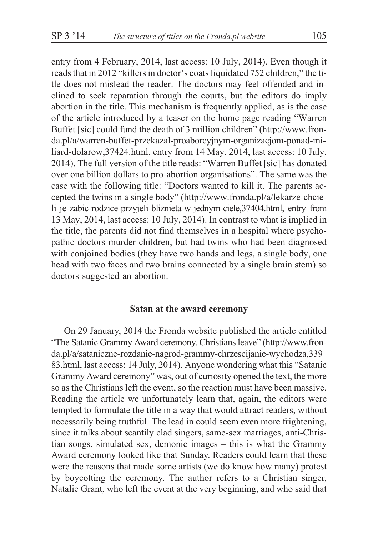entry from 4 February, 2014, last access: 10 July, 2014). Even though it reads that in 2012 "killers in doctor's coats liquidated 752 children," the title does not mislead the reader. The doctors may feel offended and inclined to seek reparation through the courts, but the editors do imply abortion in the title. This mechanism is frequently applied, as is the case of the article introduced by a teaser on the home page reading "Warren Buffet [sic] could fund the death of 3 million children" (http://www.fronda.pl/a/warren-buffet-przekazal-proaborcyjnym-organizacjom-ponad-miliard-dolarow,37424.html, entry from 14 May, 2014, last access: 10 July, 2014). The full version of the title reads: "Warren Buffet [sic] has donated over one billion dollars to pro-abortion organisations". The same was the case with the following title: "Doctors wanted to kill it. The parents accepted the twins in a single body" (http://www.fronda.pl/a/lekarze-chcieli-je-zabic-rodzice-przyjeli-bliznieta-w-jednym-ciele,37404.html, entry from 13 May, 2014, last access: 10 July, 2014). In contrast to what is implied in the title, the parents did not find themselves in a hospital where psychopathic doctors murder children, but had twins who had been diagnosed with conjoined bodies (they have two hands and legs, a single body, one head with two faces and two brains connected by a single brain stem) so doctors suggested an abortion.

## **Satan at the award ceremony**

On 29 January, 2014 the Fronda website published the article entitled "The Satanic Grammy Award ceremony. Christians leave" (http://www.fronda.pl/a/sataniczne-rozdanie-nagrod-grammy-chrzescijanie-wychodza,339 83.html, last access: 14 July, 2014). Anyone wondering what this "Satanic Grammy Award ceremony" was, out of curiosity opened the text, the more so as the Christians left the event, so the reaction must have been massive. Reading the article we unfortunately learn that, again, the editors were tempted to formulate the title in a way that would attract readers, without necessarily being truthful. The lead in could seem even more frightening, since it talks about scantily clad singers, same-sex marriages, anti-Christian songs, simulated sex, demonic images – this is what the Grammy Award ceremony looked like that Sunday. Readers could learn that these were the reasons that made some artists (we do know how many) protest by boycotting the ceremony. The author refers to a Christian singer, Natalie Grant, who left the event at the very beginning, and who said that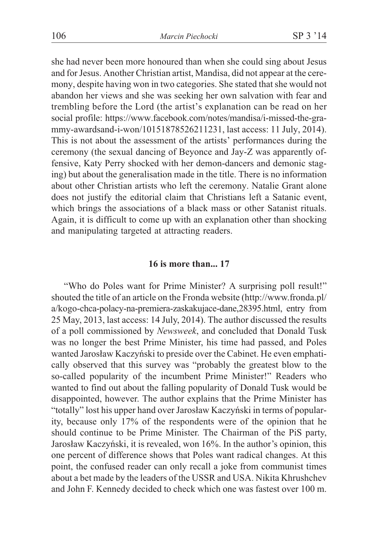she had never been more honoured than when she could sing about Jesus and for Jesus. Another Christian artist, Mandisa, did not appear at the ceremony, despite having won in two categories. She stated that she would not abandon her views and she was seeking her own salvation with fear and trembling before the Lord (the artist's explanation can be read on her social profile: https://www.facebook.com/notes/mandisa/i-missed-the-grammy-awardsand-i-won/10151878526211231, last access: 11 July, 2014). This is not about the assessment of the artists' performances during the ceremony (the sexual dancing of Beyonce and Jay-Z was apparently offensive, Katy Perry shocked with her demon-dancers and demonic staging) but about the generalisation made in the title. There is no information about other Christian artists who left the ceremony. Natalie Grant alone does not justify the editorial claim that Christians left a Satanic event, which brings the associations of a black mass or other Satanist rituals. Again, it is difficult to come up with an explanation other than shocking and manipulating targeted at attracting readers.

# **16 is more than... 17**

"Who do Poles want for Prime Minister? A surprising poll result!" shouted the title of an article on the Fronda website (http://www.fronda.pl/ a/kogo-chca-polacy-na-premiera-zaskakujace-dane,28395.html, entry from 25 May, 2013, last access: 14 July, 2014). The author discussed the results of a poll commissioned by *Newsweek*, and concluded that Donald Tusk was no longer the best Prime Minister, his time had passed, and Poles wanted Jarosław Kaczyński to preside over the Cabinet. He even emphatically observed that this survey was "probably the greatest blow to the so-called popularity of the incumbent Prime Minister!" Readers who wanted to find out about the falling popularity of Donald Tusk would be disappointed, however. The author explains that the Prime Minister has "totally" lost his upper hand over Jarosław Kaczyński in terms of popularity, because only 17% of the respondents were of the opinion that he should continue to be Prime Minister. The Chairman of the PiS party, Jarosław Kaczyński, it is revealed, won 16%. In the author's opinion, this one percent of difference shows that Poles want radical changes. At this point, the confused reader can only recall a joke from communist times about a bet made by the leaders of the USSR and USA. Nikita Khrushchev and John F. Kennedy decided to check which one was fastest over 100 m.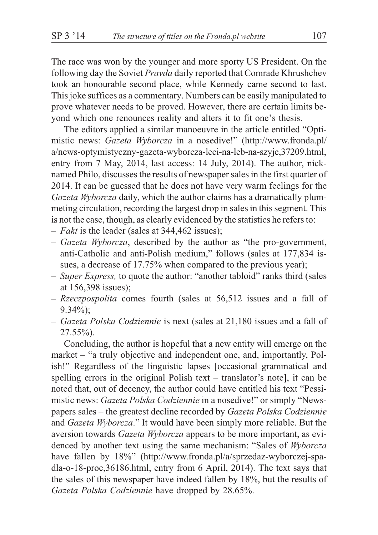The race was won by the younger and more sporty US President. On the following day the Soviet *Pravda* daily reported that Comrade Khrushchev took an honourable second place, while Kennedy came second to last. This joke suffices as a commentary. Numbers can be easily manipulated to prove whatever needs to be proved. However, there are certain limits beyond which one renounces reality and alters it to fit one's thesis.

The editors applied a similar manoeuvre in the article entitled "Optimistic news: *Gazeta Wyborcza* in a nosedive!" (http://www.fronda.pl/ a/news-optymistyczny-gazeta-wyborcza-leci-na-leb-na-szyje,37209.html, entry from 7 May, 2014, last access: 14 July, 2014). The author, nicknamed Philo, discusses the results of newspaper sales in the first quarter of 2014. It can be guessed that he does not have very warm feelings for the *Gazeta Wyborcza* daily, which the author claims has a dramatically plummeting circulation, recording the largest drop in sales in this segment. This is not the case, though, as clearly evidenced by the statistics he refers to:

- *Fakt* is the leader (sales at 344,462 issues);
- *Gazeta Wyborcza*, described by the author as "the pro-government, anti-Catholic and anti-Polish medium," follows (sales at 177,834 issues, a decrease of 17.75% when compared to the previous year);
- *Super Express,* to quote the author: "another tabloid" ranks third (sales at 156,398 issues);
- *Rzeczpospolita* comes fourth (sales at 56,512 issues and a fall of 9.34%);
- *Gazeta Polska Codziennie* is next (sales at 21,180 issues and a fall of 27.55%).

Concluding, the author is hopeful that a new entity will emerge on the market – "a truly objective and independent one, and, importantly, Polish!" Regardless of the linguistic lapses [occasional grammatical and spelling errors in the original Polish text – translator's note], it can be noted that, out of decency, the author could have entitled his text "Pessimistic news: *Gazeta Polska Codziennie* in a nosedive!" or simply "Newspapers sales – the greatest decline recorded by *Gazeta Polska Codziennie* and *Gazeta Wyborcza*." It would have been simply more reliable. But the aversion towards *Gazeta Wyborcza* appears to be more important, as evidenced by another text using the same mechanism: "Sales of *Wyborcza* have fallen by 18%" (http://www.fronda.pl/a/sprzedaz-wyborczej-spadla-o-18-proc,36186.html, entry from 6 April, 2014). The text says that the sales of this newspaper have indeed fallen by 18%, but the results of *Gazeta Polska Codziennie* have dropped by 28.65%.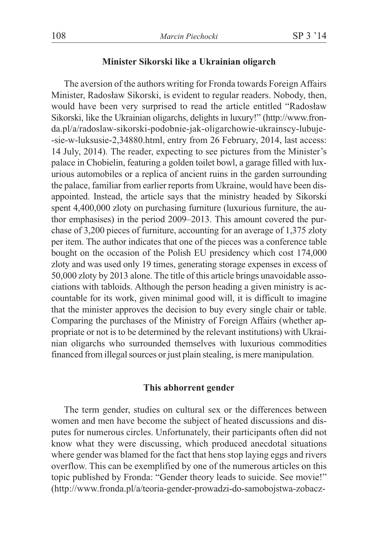## **Minister Sikorski like a Ukrainian oligarch**

The aversion of the authors writing for Fronda towards Foreign Affairs Minister, Radosław Sikorski, is evident to regular readers. Nobody, then, would have been very surprised to read the article entitled "Radosław Sikorski, like the Ukrainian oligarchs, delights in luxury!" (http://www.fronda.pl/a/radoslaw-sikorski-podobnie-jak-oligarchowie-ukrainscy-lubuje- -sie-w-luksusie-2,34880.html, entry from 26 February, 2014, last access: 14 July, 2014). The reader, expecting to see pictures from the Minister's palace in Chobielin, featuring a golden toilet bowl, a garage filled with luxurious automobiles or a replica of ancient ruins in the garden surrounding the palace, familiar from earlier reports from Ukraine, would have been disappointed. Instead, the article says that the ministry headed by Sikorski spent 4,400,000 zloty on purchasing furniture (luxurious furniture, the author emphasises) in the period 2009–2013. This amount covered the purchase of 3,200 pieces of furniture, accounting for an average of 1,375 zloty per item. The author indicates that one of the pieces was a conference table bought on the occasion of the Polish EU presidency which cost 174,000 zloty and was used only 19 times, generating storage expenses in excess of 50,000 zloty by 2013 alone. The title of this article brings unavoidable associations with tabloids. Although the person heading a given ministry is accountable for its work, given minimal good will, it is difficult to imagine that the minister approves the decision to buy every single chair or table. Comparing the purchases of the Ministry of Foreign Affairs (whether appropriate or not is to be determined by the relevant institutions) with Ukrainian oligarchs who surrounded themselves with luxurious commodities financed from illegal sources or just plain stealing, is mere manipulation.

#### **This abhorrent gender**

The term gender, studies on cultural sex or the differences between women and men have become the subject of heated discussions and disputes for numerous circles. Unfortunately, their participants often did not know what they were discussing, which produced anecdotal situations where gender was blamed for the fact that hens stop laying eggs and rivers overflow. This can be exemplified by one of the numerous articles on this topic published by Fronda: "Gender theory leads to suicide. See movie!" (http://www.fronda.pl/a/teoria-gender-prowadzi-do-samobojstwa-zobacz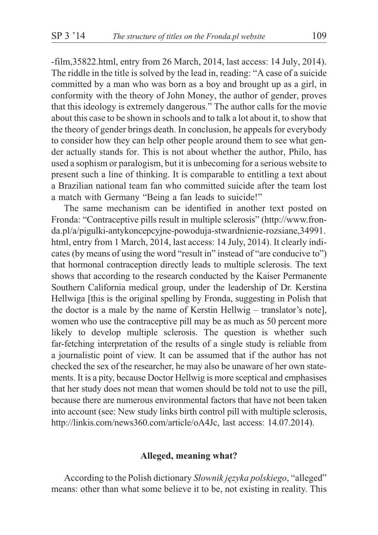-film,35822.html, entry from 26 March, 2014, last access: 14 July, 2014). The riddle in the title is solved by the lead in, reading: "A case of a suicide committed by a man who was born as a boy and brought up as a girl, in conformity with the theory of John Money, the author of gender, proves that this ideology is extremely dangerous." The author calls for the movie about this case to be shown in schools and to talk a lot about it, to show that the theory of gender brings death. In conclusion, he appeals for everybody to consider how they can help other people around them to see what gender actually stands for. This is not about whether the author, Philo, has used a sophism or paralogism, but it is unbecoming for a serious website to present such a line of thinking. It is comparable to entitling a text about a Brazilian national team fan who committed suicide after the team lost a match with Germany "Being a fan leads to suicide!"

The same mechanism can be identified in another text posted on Fronda: "Contraceptive pills result in multiple sclerosis" (http://www.fronda.pl/a/pigulki-antykoncepcyjne-powoduja-stwardnienie-rozsiane,34991. html, entry from 1 March, 2014, last access: 14 July, 2014). It clearly indicates (by means of using the word "result in" instead of "are conducive to") that hormonal contraception directly leads to multiple sclerosis. The text shows that according to the research conducted by the Kaiser Permanente Southern California medical group, under the leadership of Dr. Kerstina Hellwiga [this is the original spelling by Fronda, suggesting in Polish that the doctor is a male by the name of Kerstin Hellwig – translator's note], women who use the contraceptive pill may be as much as 50 percent more likely to develop multiple sclerosis. The question is whether such far-fetching interpretation of the results of a single study is reliable from a journalistic point of view. It can be assumed that if the author has not checked the sex of the researcher, he may also be unaware of her own statements. It is a pity, because Doctor Hellwig is more sceptical and emphasises that her study does not mean that women should be told not to use the pill, because there are numerous environmental factors that have not been taken into account (see: New study links birth control pill with multiple sclerosis, http://linkis.com/news360.com/article/oA4Jc, last access: 14.07.2014).

## **Alleged, meaning what?**

According to the Polish dictionary *Słownik języka polskiego*, "alleged" means: other than what some believe it to be, not existing in reality. This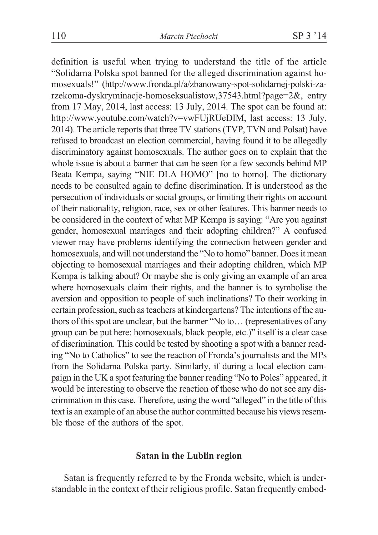definition is useful when trying to understand the title of the article "Solidarna Polska spot banned for the alleged discrimination against homosexuals!" (http://www.fronda.pl/a/zbanowany-spot-solidarnej-polski-zarzekoma-dyskryminacje-homoseksualistow,37543.html?page=2&, entry from 17 May, 2014, last access: 13 July, 2014. The spot can be found at: http://www.youtube.com/watch?v=vwFUjRUeDIM, last access: 13 July, 2014). The article reports that three TV stations (TVP, TVN and Polsat) have refused to broadcast an election commercial, having found it to be allegedly discriminatory against homosexuals. The author goes on to explain that the whole issue is about a banner that can be seen for a few seconds behind MP Beata Kempa, saying "NIE DLA HOMO" [no to homo]. The dictionary needs to be consulted again to define discrimination. It is understood as the persecution of individuals or social groups, or limiting their rights on account of their nationality, religion, race, sex or other features. This banner needs to be considered in the context of what MP Kempa is saying: "Are you against gender, homosexual marriages and their adopting children?" A confused viewer may have problems identifying the connection between gender and homosexuals, and will not understand the "No to homo" banner. Does it mean objecting to homosexual marriages and their adopting children, which MP Kempa is talking about? Or maybe she is only giving an example of an area where homosexuals claim their rights, and the banner is to symbolise the aversion and opposition to people of such inclinations? To their working in certain profession, such as teachers at kindergartens? The intentions of the authors of this spot are unclear, but the banner "No to… (representatives of any group can be put here: homosexuals, black people, etc.)" itself is a clear case of discrimination. This could be tested by shooting a spot with a banner reading "No to Catholics" to see the reaction of Fronda's journalists and the MPs from the Solidarna Polska party. Similarly, if during a local election campaign in the UK a spot featuring the banner reading "No to Poles" appeared, it would be interesting to observe the reaction of those who do not see any discrimination in this case. Therefore, using the word "alleged" in the title of this text is an example of an abuse the author committed because his views resemble those of the authors of the spot.

#### **Satan in the Lublin region**

Satan is frequently referred to by the Fronda website, which is understandable in the context of their religious profile. Satan frequently embod-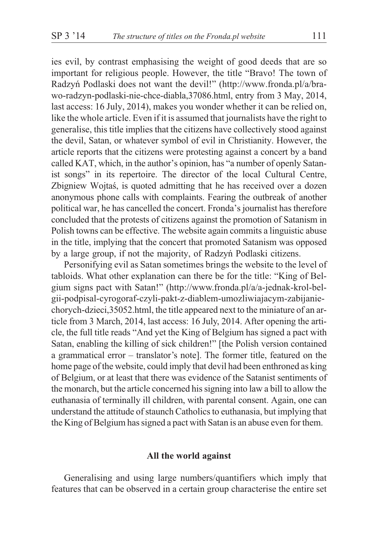ies evil, by contrast emphasising the weight of good deeds that are so important for religious people. However, the title "Bravo! The town of Radzyñ Podlaski does not want the devil!" (http://www.fronda.pl/a/brawo-radzyn-podlaski-nie-chce-diabla,37086.html, entry from 3 May, 2014, last access: 16 July, 2014), makes you wonder whether it can be relied on, like the whole article. Even if it is assumed that journalists have the right to generalise, this title implies that the citizens have collectively stood against the devil, Satan, or whatever symbol of evil in Christianity. However, the article reports that the citizens were protesting against a concert by a band called KAT, which, in the author's opinion, has "a number of openly Satanist songs" in its repertoire. The director of the local Cultural Centre, Zbigniew Wojtaś, is quoted admitting that he has received over a dozen anonymous phone calls with complaints. Fearing the outbreak of another political war, he has cancelled the concert. Fronda's journalist has therefore concluded that the protests of citizens against the promotion of Satanism in Polish towns can be effective. The website again commits a linguistic abuse in the title, implying that the concert that promoted Satanism was opposed by a large group, if not the majority, of Radzyñ Podlaski citizens.

Personifying evil as Satan sometimes brings the website to the level of tabloids. What other explanation can there be for the title: "King of Belgium signs pact with Satan!" (http://www.fronda.pl/a/a-jednak-krol-belgii-podpisal-cyrogoraf-czyli-pakt-z-diablem-umozliwiajacym-zabijaniechorych-dzieci,35052.html, the title appeared next to the miniature of an article from 3 March, 2014, last access: 16 July, 2014. After opening the article, the full title reads "And yet the King of Belgium has signed a pact with Satan, enabling the killing of sick children!" [the Polish version contained a grammatical error – translator's note]. The former title, featured on the home page of the website, could imply that devil had been enthroned as king of Belgium, or at least that there was evidence of the Satanist sentiments of the monarch, but the article concerned his signing into law a bill to allow the euthanasia of terminally ill children, with parental consent. Again, one can understand the attitude of staunch Catholics to euthanasia, but implying that the King of Belgium has signed a pact with Satan is an abuse even for them.

#### **All the world against**

Generalising and using large numbers/quantifiers which imply that features that can be observed in a certain group characterise the entire set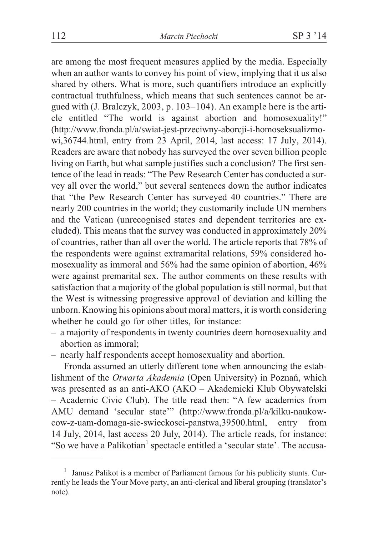are among the most frequent measures applied by the media. Especially when an author wants to convey his point of view, implying that it us also shared by others. What is more, such quantifiers introduce an explicitly contractual truthfulness, which means that such sentences cannot be argued with (J. Bralczyk, 2003, p. 103–104). An example here is the article entitled "The world is against abortion and homosexuality!" (http://www.fronda.pl/a/swiat-jest-przeciwny-aborcji-i-homoseksualizmowi,36744.html, entry from 23 April, 2014, last access: 17 July, 2014). Readers are aware that nobody has surveyed the over seven billion people living on Earth, but what sample justifies such a conclusion? The first sentence of the lead in reads: "The Pew Research Center has conducted a survey all over the world," but several sentences down the author indicates that "the Pew Research Center has surveyed 40 countries." There are nearly 200 countries in the world; they customarily include UN members and the Vatican (unrecognised states and dependent territories are excluded). This means that the survey was conducted in approximately 20% of countries, rather than all over the world. The article reports that 78% of the respondents were against extramarital relations, 59% considered homosexuality as immoral and 56% had the same opinion of abortion, 46% were against premarital sex. The author comments on these results with satisfaction that a majority of the global population is still normal, but that the West is witnessing progressive approval of deviation and killing the unborn. Knowing his opinions about moral matters, it is worth considering whether he could go for other titles, for instance:

- a majority of respondents in twenty countries deem homosexuality and abortion as immoral;
- nearly half respondents accept homosexuality and abortion.

Fronda assumed an utterly different tone when announcing the establishment of the *Otwarta Akademia* (Open University) in Poznañ, which was presented as an anti-AKO (AKO – Akademicki Klub Obywatelski – Academic Civic Club). The title read then: "A few academics from AMU demand 'secular state'" (http://www.fronda.pl/a/kilku-naukowcow-z-uam-domaga-sie-swieckosci-panstwa,39500.html, entry from 14 July, 2014, last access 20 July, 2014). The article reads, for instance: "So we have a Palikotian<sup>1</sup> spectacle entitled a 'secular state'. The accusa-

 $1$  Janusz Palikot is a member of Parliament famous for his publicity stunts. Currently he leads the Your Move party, an anti-clerical and liberal grouping (translator's note).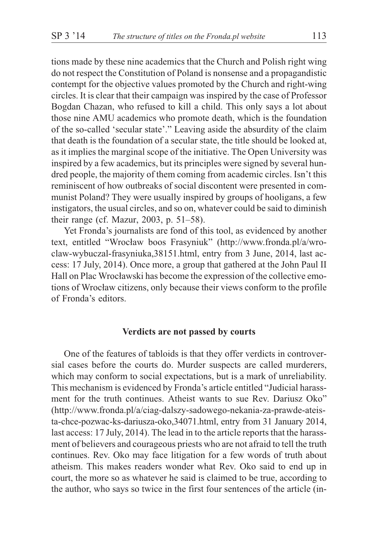tions made by these nine academics that the Church and Polish right wing do not respect the Constitution of Poland is nonsense and a propagandistic contempt for the objective values promoted by the Church and right-wing circles. It is clear that their campaign was inspired by the case of Professor Bogdan Chazan, who refused to kill a child. This only says a lot about those nine AMU academics who promote death, which is the foundation of the so-called 'secular state'." Leaving aside the absurdity of the claim that death is the foundation of a secular state, the title should be looked at, as it implies the marginal scope of the initiative. The Open University was inspired by a few academics, but its principles were signed by several hundred people, the majority of them coming from academic circles. Isn't this reminiscent of how outbreaks of social discontent were presented in communist Poland? They were usually inspired by groups of hooligans, a few instigators, the usual circles, and so on, whatever could be said to diminish their range (cf. Mazur, 2003, p. 51–58).

Yet Fronda's journalists are fond of this tool, as evidenced by another text, entitled "Wrocław boos Frasyniuk" (http://www.fronda.pl/a/wroclaw-wybuczal-frasyniuka,38151.html, entry from 3 June, 2014, last access: 17 July, 2014). Once more, a group that gathered at the John Paul II Hall on Plac Wrocławski has become the expression of the collective emotions of Wrocław citizens, only because their views conform to the profile of Fronda's editors.

## **Verdicts are not passed by courts**

One of the features of tabloids is that they offer verdicts in controversial cases before the courts do. Murder suspects are called murderers, which may conform to social expectations, but is a mark of unreliability. This mechanism is evidenced by Fronda's article entitled "Judicial harassment for the truth continues. Atheist wants to sue Rev. Dariusz Oko" (http://www.fronda.pl/a/ciag-dalszy-sadowego-nekania-za-prawde-ateista-chce-pozwac-ks-dariusza-oko,34071.html, entry from 31 January 2014, last access: 17 July, 2014). The lead in to the article reports that the harassment of believers and courageous priests who are not afraid to tell the truth continues. Rev. Oko may face litigation for a few words of truth about atheism. This makes readers wonder what Rev. Oko said to end up in court, the more so as whatever he said is claimed to be true, according to the author, who says so twice in the first four sentences of the article (in-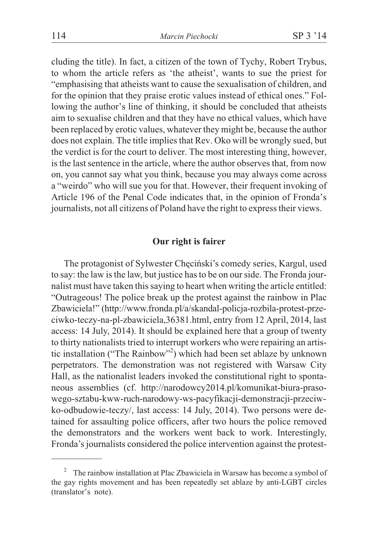cluding the title). In fact, a citizen of the town of Tychy, Robert Trybus, to whom the article refers as 'the atheist', wants to sue the priest for "emphasising that atheists want to cause the sexualisation of children, and for the opinion that they praise erotic values instead of ethical ones." Following the author's line of thinking, it should be concluded that atheists aim to sexualise children and that they have no ethical values, which have been replaced by erotic values, whatever they might be, because the author does not explain. The title implies that Rev. Oko will be wrongly sued, but the verdict is for the court to deliver. The most interesting thing, however, is the last sentence in the article, where the author observes that, from now on, you cannot say what you think, because you may always come across a "weirdo" who will sue you for that. However, their frequent invoking of Article 196 of the Penal Code indicates that, in the opinion of Fronda's journalists, not all citizens of Poland have the right to express their views.

#### **Our right is fairer**

The protagonist of Sylwester Checiński's comedy series, Kargul, used to say: the law is the law, but justice has to be on our side. The Fronda journalist must have taken this saying to heart when writing the article entitled: "Outrageous! The police break up the protest against the rainbow in Plac Zbawiciela!" (http://www.fronda.pl/a/skandal-policja-rozbila-protest-przeciwko-teczy-na-pl-zbawiciela,36381.html, entry from 12 April, 2014, last access: 14 July, 2014). It should be explained here that a group of twenty to thirty nationalists tried to interrupt workers who were repairing an artistic installation ("The Rainbow"<sup>2</sup> ) which had been set ablaze by unknown perpetrators. The demonstration was not registered with Warsaw City Hall, as the nationalist leaders invoked the constitutional right to spontaneous assemblies (cf. http://narodowcy2014.pl/komunikat-biura-prasowego-sztabu-kww-ruch-narodowy-ws-pacyfikacji-demonstracji-przeciwko-odbudowie-teczy/, last access: 14 July, 2014). Two persons were detained for assaulting police officers, after two hours the police removed the demonstrators and the workers went back to work. Interestingly, Fronda's journalists considered the police intervention against the protest-

<sup>&</sup>lt;sup>2</sup> The rainbow installation at Plac Zbawiciela in Warsaw has become a symbol of the gay rights movement and has been repeatedly set ablaze by anti-LGBT circles (translator's note).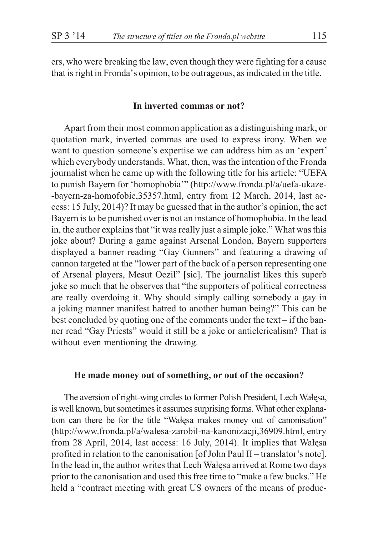ers, who were breaking the law, even though they were fighting for a cause that is right in Fronda's opinion, to be outrageous, as indicated in the title.

#### **In inverted commas or not?**

Apart from their most common application as a distinguishing mark, or quotation mark, inverted commas are used to express irony. When we want to question someone's expertise we can address him as an 'expert' which everybody understands. What, then, was the intention of the Fronda journalist when he came up with the following title for his article: "UEFA to punish Bayern for 'homophobia'" (http://www.fronda.pl/a/uefa-ukaze- -bayern-za-homofobie,35357.html, entry from 12 March, 2014, last access: 15 July, 2014)? It may be guessed that in the author's opinion, the act Bayern is to be punished over is not an instance of homophobia. In the lead in, the author explains that "it was really just a simple joke." What was this joke about? During a game against Arsenal London, Bayern supporters displayed a banner reading "Gay Gunners" and featuring a drawing of cannon targeted at the "lower part of the back of a person representing one of Arsenal players, Mesut Oezil" [sic]. The journalist likes this superb joke so much that he observes that "the supporters of political correctness are really overdoing it. Why should simply calling somebody a gay in a joking manner manifest hatred to another human being?" This can be best concluded by quoting one of the comments under the text – if the banner read "Gay Priests" would it still be a joke or anticlericalism? That is without even mentioning the drawing.

## **He made money out of something, or out of the occasion?**

The aversion of right-wing circles to former Polish President, Lech Wałęsa, is well known, but sometimes it assumes surprising forms. What other explanation can there be for the title "Wałęsa makes money out of canonisation" (http://www.fronda.pl/a/walesa-zarobil-na-kanonizacji,36909.html, entry from 28 April, 2014, last access: 16 July, 2014). It implies that Wałesa profited in relation to the canonisation [of John Paul II – translator's note]. In the lead in, the author writes that Lech Wałęsa arrived at Rome two days prior to the canonisation and used this free time to "make a few bucks." He held a "contract meeting with great US owners of the means of produc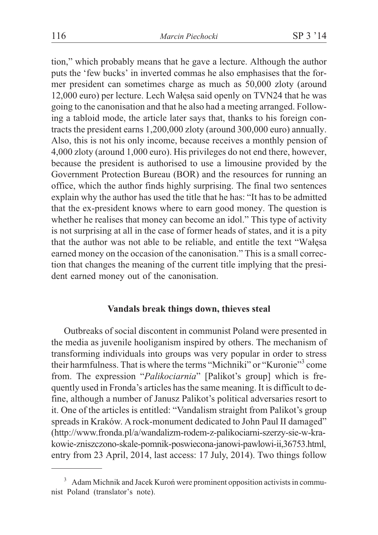tion," which probably means that he gave a lecture. Although the author puts the 'few bucks' in inverted commas he also emphasises that the former president can sometimes charge as much as 50,000 zloty (around 12,000 euro) per lecture. Lech Wałęsa said openly on TVN24 that he was going to the canonisation and that he also had a meeting arranged. Following a tabloid mode, the article later says that, thanks to his foreign contracts the president earns 1,200,000 zloty (around 300,000 euro) annually. Also, this is not his only income, because receives a monthly pension of 4,000 zloty (around 1,000 euro). His privileges do not end there, however, because the president is authorised to use a limousine provided by the Government Protection Bureau (BOR) and the resources for running an office, which the author finds highly surprising. The final two sentences explain why the author has used the title that he has: "It has to be admitted that the ex-president knows where to earn good money. The question is whether he realises that money can become an idol." This type of activity is not surprising at all in the case of former heads of states, and it is a pity that the author was not able to be reliable, and entitle the text "Wałęsa" earned money on the occasion of the canonisation." This is a small correction that changes the meaning of the current title implying that the president earned money out of the canonisation.

## **Vandals break things down, thieves steal**

Outbreaks of social discontent in communist Poland were presented in the media as juvenile hooliganism inspired by others. The mechanism of transforming individuals into groups was very popular in order to stress their harmfulness. That is where the terms "Michniki" or "Kuronie"<sup>3</sup> come from. The expression "*Palikociarnia*" [Palikot's group] which is frequently used in Fronda's articles has the same meaning. It is difficult to define, although a number of Janusz Palikot's political adversaries resort to it. One of the articles is entitled: "Vandalism straight from Palikot's group spreads in Kraków. A rock-monument dedicated to John Paul II damaged" (http://www.fronda.pl/a/wandalizm-rodem-z-palikociarni-szerzy-sie-w-krakowie-zniszczono-skale-pomnik-poswiecona-janowi-pawlowi-ii,36753.html, entry from 23 April, 2014, last access: 17 July, 2014). Two things follow

<sup>3</sup> Adam Michnik and Jacek Kuroñ were prominent opposition activists in communist Poland (translator's note).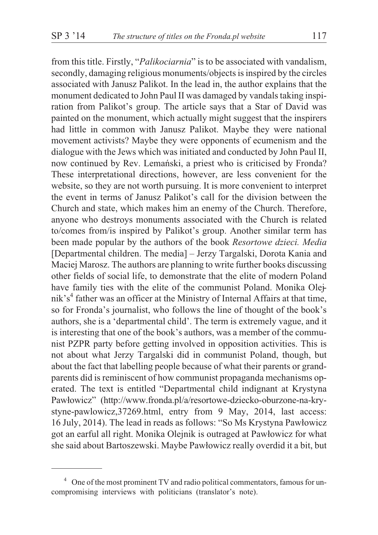from this title. Firstly, "*Palikociarnia*" is to be associated with vandalism, secondly, damaging religious monuments/objects is inspired by the circles associated with Janusz Palikot. In the lead in, the author explains that the monument dedicated to John Paul II was damaged by vandals taking inspiration from Palikot's group. The article says that a Star of David was painted on the monument, which actually might suggest that the inspirers had little in common with Janusz Palikot. Maybe they were national movement activists? Maybe they were opponents of ecumenism and the dialogue with the Jews which was initiated and conducted by John Paul II, now continued by Rev. Lemañski, a priest who is criticised by Fronda? These interpretational directions, however, are less convenient for the website, so they are not worth pursuing. It is more convenient to interpret the event in terms of Janusz Palikot's call for the division between the Church and state, which makes him an enemy of the Church. Therefore, anyone who destroys monuments associated with the Church is related to/comes from/is inspired by Palikot's group. Another similar term has been made popular by the authors of the book *Resortowe dzieci. Media* [Departmental children. The media] – Jerzy Targalski, Dorota Kania and Maciej Marosz. The authors are planning to write further books discussing other fields of social life, to demonstrate that the elite of modern Poland have family ties with the elite of the communist Poland. Monika Olejnik's<sup>4</sup> father was an officer at the Ministry of Internal Affairs at that time, so for Fronda's journalist, who follows the line of thought of the book's authors, she is a 'departmental child'. The term is extremely vague, and it is interesting that one of the book's authors, was a member of the communist PZPR party before getting involved in opposition activities. This is not about what Jerzy Targalski did in communist Poland, though, but about the fact that labelling people because of what their parents or grandparents did is reminiscent of how communist propaganda mechanisms operated. The text is entitled "Departmental child indignant at Krystyna Pawłowicz" (http://www.fronda.pl/a/resortowe-dziecko-oburzone-na-krystyne-pawlowicz,37269.html, entry from 9 May, 2014, last access: 16 July, 2014). The lead in reads as follows: "So Ms Krystyna Pawłowicz got an earful all right. Monika Olejnik is outraged at Pawłowicz for what she said about Bartoszewski. Maybe Pawłowicz really overdid it a bit, but

<sup>4</sup> One of the most prominent TV and radio political commentators, famous for uncompromising interviews with politicians (translator's note).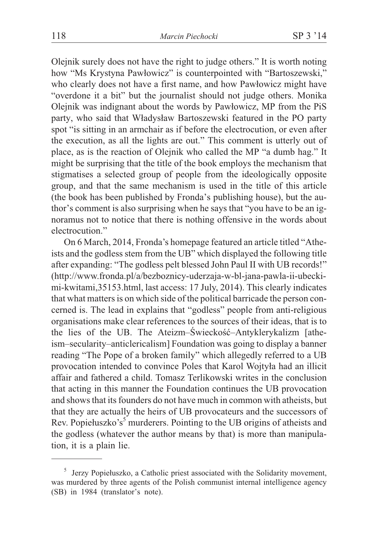Olejnik surely does not have the right to judge others." It is worth noting how "Ms Krystyna Pawłowicz" is counterpointed with "Bartoszewski," who clearly does not have a first name, and how Pawłowicz might have "overdone it a bit" but the journalist should not judge others. Monika Olejnik was indignant about the words by Pawłowicz, MP from the PiS party, who said that Władysław Bartoszewski featured in the PO party spot "is sitting in an armchair as if before the electrocution, or even after the execution, as all the lights are out." This comment is utterly out of place, as is the reaction of Olejnik who called the MP "a dumb hag." It might be surprising that the title of the book employs the mechanism that stigmatises a selected group of people from the ideologically opposite group, and that the same mechanism is used in the title of this article (the book has been published by Fronda's publishing house), but the author's comment is also surprising when he says that "you have to be an ignoramus not to notice that there is nothing offensive in the words about electrocution."

On 6 March, 2014, Fronda's homepage featured an article titled "Atheists and the godless stem from the UB" which displayed the following title after expanding: "The godless pelt blessed John Paul II with UB records!" (http://www.fronda.pl/a/bezboznicy-uderzaja-w-bl-jana-pawla-ii-ubeckimi-kwitami,35153.html, last access: 17 July, 2014). This clearly indicates that what matters is on which side of the political barricade the person concerned is. The lead in explains that "godless" people from anti-religious organisations make clear references to the sources of their ideas, that is to the lies of the UB. The Ateizm–Świeckość–Antyklerykalizm [atheism–secularity–anticlericalism] Foundation was going to display a banner reading "The Pope of a broken family" which allegedly referred to a UB provocation intended to convince Poles that Karol Wojtyła had an illicit affair and fathered a child. Tomasz Terlikowski writes in the conclusion that acting in this manner the Foundation continues the UB provocation and shows that its founders do not have much in common with atheists, but that they are actually the heirs of UB provocateurs and the successors of Rev. Popiełuszko's<sup>5</sup> murderers. Pointing to the UB origins of atheists and the godless (whatever the author means by that) is more than manipulation, it is a plain lie.

<sup>&</sup>lt;sup>5</sup> Jerzy Popiełuszko, a Catholic priest associated with the Solidarity movement, was murdered by three agents of the Polish communist internal intelligence agency (SB) in 1984 (translator's note).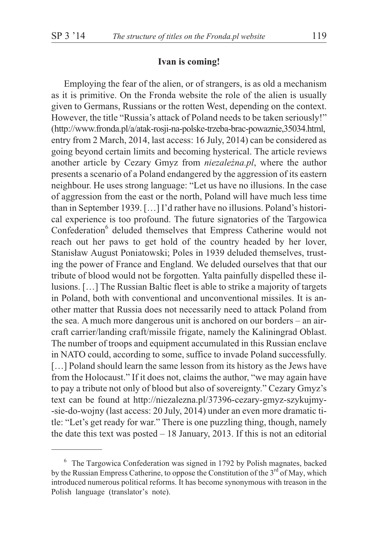# **Ivan is coming!**

Employing the fear of the alien, or of strangers, is as old a mechanism as it is primitive. On the Fronda website the role of the alien is usually given to Germans, Russians or the rotten West, depending on the context. However, the title "Russia's attack of Poland needs to be taken seriously!" (http://www.fronda.pl/a/atak-rosji-na-polske-trzeba-brac-powaznie,35034.html, entry from 2 March, 2014, last access: 16 July, 2014) can be considered as going beyond certain limits and becoming hysterical. The article reviews another article by Cezary Gmyz from *niezale¿na.pl*, where the author presents a scenario of a Poland endangered by the aggression of its eastern neighbour. He uses strong language: "Let us have no illusions. In the case of aggression from the east or the north, Poland will have much less time than in September 1939. […] I'd rather have no illusions. Poland's historical experience is too profound. The future signatories of the Targowica Confederation<sup>6</sup> deluded themselves that Empress Catherine would not reach out her paws to get hold of the country headed by her lover, Stanisław August Poniatowski; Poles in 1939 deluded themselves, trusting the power of France and England. We deluded ourselves that that our tribute of blood would not be forgotten. Yalta painfully dispelled these illusions. […] The Russian Baltic fleet is able to strike a majority of targets in Poland, both with conventional and unconventional missiles. It is another matter that Russia does not necessarily need to attack Poland from the sea. A much more dangerous unit is anchored on our borders – an aircraft carrier/landing craft/missile frigate, namely the Kaliningrad Oblast. The number of troops and equipment accumulated in this Russian enclave in NATO could, according to some, suffice to invade Poland successfully. [...] Poland should learn the same lesson from its history as the Jews have from the Holocaust." If it does not, claims the author, "we may again have to pay a tribute not only of blood but also of sovereignty." Cezary Gmyz's text can be found at http://niezalezna.pl/37396-cezary-gmyz-szykujmy- -sie-do-wojny (last access: 20 July, 2014) under an even more dramatic title: "Let's get ready for war." There is one puzzling thing, though, namely the date this text was posted  $-18$  January, 2013. If this is not an editorial

<sup>6</sup> The Targowica Confederation was signed in 1792 by Polish magnates, backed by the Russian Empress Catherine, to oppose the Constitution of the 3rd of May, which introduced numerous political reforms. It has become synonymous with treason in the Polish language (translator's note).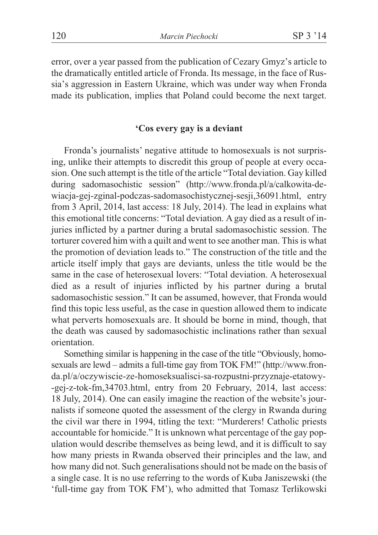error, over a year passed from the publication of Cezary Gmyz's article to the dramatically entitled article of Fronda. Its message, in the face of Russia's aggression in Eastern Ukraine, which was under way when Fronda made its publication, implies that Poland could become the next target.

## **'Cos every gay is a deviant**

Fronda's journalists' negative attitude to homosexuals is not surprising, unlike their attempts to discredit this group of people at every occasion. One such attempt is the title of the article "Total deviation. Gay killed during sadomasochistic session" (http://www.fronda.pl/a/calkowita-dewiacja-gej-zginal-podczas-sadomasochistycznej-sesji,36091.html, entry from 3 April, 2014, last access: 18 July, 2014). The lead in explains what this emotional title concerns: "Total deviation. A gay died as a result of injuries inflicted by a partner during a brutal sadomasochistic session. The torturer covered him with a quilt and went to see another man. This is what the promotion of deviation leads to." The construction of the title and the article itself imply that gays are deviants, unless the title would be the same in the case of heterosexual lovers: "Total deviation. A heterosexual died as a result of injuries inflicted by his partner during a brutal sadomasochistic session." It can be assumed, however, that Fronda would find this topic less useful, as the case in question allowed them to indicate what perverts homosexuals are. It should be borne in mind, though, that the death was caused by sadomasochistic inclinations rather than sexual orientation.

Something similar is happening in the case of the title "Obviously, homosexuals are lewd – admits a full-time gay from TOK FM!" (http://www.fronda.pl/a/oczywiscie-ze-homoseksualisci-sa-rozpustni-przyznaje-etatowy- -gej-z-tok-fm,34703.html, entry from 20 February, 2014, last access: 18 July, 2014). One can easily imagine the reaction of the website's journalists if someone quoted the assessment of the clergy in Rwanda during the civil war there in 1994, titling the text: "Murderers! Catholic priests accountable for homicide." It is unknown what percentage of the gay population would describe themselves as being lewd, and it is difficult to say how many priests in Rwanda observed their principles and the law, and how many did not. Such generalisations should not be made on the basis of a single case. It is no use referring to the words of Kuba Janiszewski (the 'full-time gay from TOK FM'), who admitted that Tomasz Terlikowski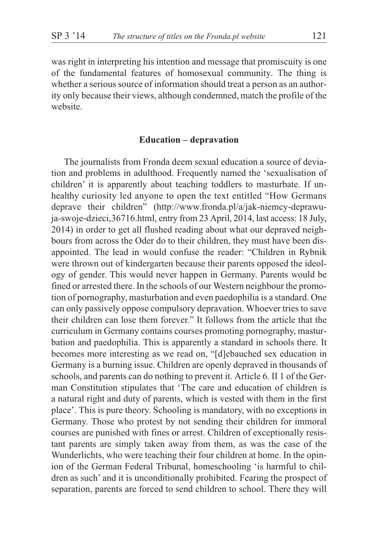was right in interpreting his intention and message that promiscuity is one of the fundamental features of homosexual community. The thing is whether a serious source of information should treat a person as an authority only because their views, although condemned, match the profile of the website.

### **Education – depravation**

The journalists from Fronda deem sexual education a source of deviation and problems in adulthood. Frequently named the 'sexualisation of children' it is apparently about teaching toddlers to masturbate. If unhealthy curiosity led anyone to open the text entitled "How Germans deprave their children" (http://www.fronda.pl/a/jak-niemcy-deprawuja-swoje-dzieci,36716.html, entry from 23 April, 2014, last access: 18 July, 2014) in order to get all flushed reading about what our depraved neighbours from across the Oder do to their children, they must have been disappointed. The lead in would confuse the reader: "Children in Rybnik were thrown out of kindergarten because their parents opposed the ideology of gender. This would never happen in Germany. Parents would be fined or arrested there. In the schools of our Western neighbour the promotion of pornography, masturbation and even paedophilia is a standard. One can only passively oppose compulsory depravation. Whoever tries to save their children can lose them forever." It follows from the article that the curriculum in Germany contains courses promoting pornography, masturbation and paedophilia. This is apparently a standard in schools there. It becomes more interesting as we read on, "[d]ebauched sex education in Germany is a burning issue. Children are openly depraved in thousands of schools, and parents can do nothing to prevent it. Article 6. II 1 of the German Constitution stipulates that 'The care and education of children is a natural right and duty of parents, which is vested with them in the first place'. This is pure theory. Schooling is mandatory, with no exceptions in Germany. Those who protest by not sending their children for immoral courses are punished with fines or arrest. Children of exceptionally resistant parents are simply taken away from them, as was the case of the Wunderlichts, who were teaching their four children at home. In the opinion of the German Federal Tribunal, homeschooling 'is harmful to children as such' and it is unconditionally prohibited. Fearing the prospect of separation, parents are forced to send children to school. There they will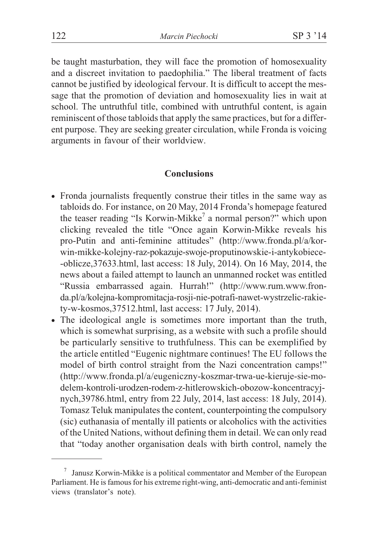be taught masturbation, they will face the promotion of homosexuality and a discreet invitation to paedophilia." The liberal treatment of facts cannot be justified by ideological fervour. It is difficult to accept the message that the promotion of deviation and homosexuality lies in wait at school. The untruthful title, combined with untruthful content, is again reminiscent of those tabloids that apply the same practices, but for a different purpose. They are seeking greater circulation, while Fronda is voicing arguments in favour of their worldview.

#### **Conclusions**

- Fronda journalists frequently construe their titles in the same way as tabloids do. For instance, on 20 May, 2014 Fronda's homepage featured the teaser reading "Is Korwin-Mikke<sup>7</sup> a normal person?" which upon clicking revealed the title "Once again Korwin-Mikke reveals his pro-Putin and anti-feminine attitudes" (http://www.fronda.pl/a/korwin-mikke-kolejny-raz-pokazuje-swoje-proputinowskie-i-antykobiece- -oblicze,37633.html, last access: 18 July, 2014). On 16 May, 2014, the news about a failed attempt to launch an unmanned rocket was entitled "Russia embarrassed again. Hurrah!" (http://www.rum.www.fronda.pl/a/kolejna-kompromitacja-rosji-nie-potrafi-nawet-wystrzelic-rakiety-w-kosmos,37512.html, last access: 17 July, 2014).
- The ideological angle is sometimes more important than the truth, which is somewhat surprising, as a website with such a profile should be particularly sensitive to truthfulness. This can be exemplified by the article entitled "Eugenic nightmare continues! The EU follows the model of birth control straight from the Nazi concentration camps!" (http://www.fronda.pl/a/eugeniczny-koszmar-trwa-ue-kieruje-sie-modelem-kontroli-urodzen-rodem-z-hitlerowskich-obozow-koncentracyjnych,39786.html, entry from 22 July, 2014, last access: 18 July, 2014). Tomasz Teluk manipulates the content, counterpointing the compulsory (sic) euthanasia of mentally ill patients or alcoholics with the activities of the United Nations, without defining them in detail. We can only read that "today another organisation deals with birth control, namely the

 $^7$  Janusz Korwin-Mikke is a political commentator and Member of the European Parliament. He is famous for his extreme right-wing, anti-democratic and anti-feminist views (translator's note).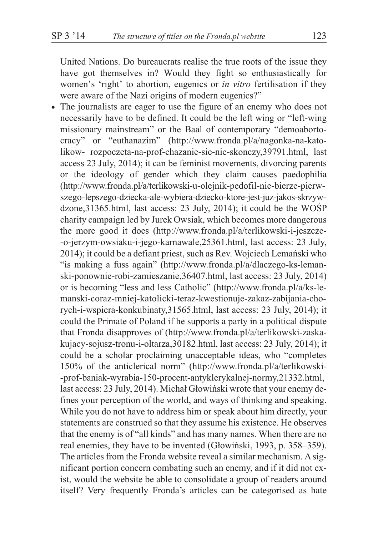United Nations. Do bureaucrats realise the true roots of the issue they have got themselves in? Would they fight so enthusiastically for women's 'right' to abortion, eugenics or *in vitro* fertilisation if they were aware of the Nazi origins of modern eugenics?"

- The journalists are eager to use the figure of an enemy who does not necessarily have to be defined. It could be the left wing or "left-wing missionary mainstream" or the Baal of contemporary "demoabortocracy" or "euthanazim" (http://www.fronda.pl/a/nagonka-na-katolikow- rozpoczeta-na-prof-chazanie-sie-nie-skonczy,39791.html, last access 23 July, 2014); it can be feminist movements, divorcing parents or the ideology of gender which they claim causes paedophilia (http://www.fronda.pl/a/terlikowski-u-olejnik-pedofil-nie-bierze-pierwszego-lepszego-dziecka-ale-wybiera-dziecko-ktore-jest-juz-jakos-skrzywdzone, $31365$ .html, last access: 23 July, 2014); it could be the WOSP charity campaign led by Jurek Owsiak, which becomes more dangerous the more good it does (http://www.fronda.pl/a/terlikowski-i-jeszcze- -o-jerzym-owsiaku-i-jego-karnawale,25361.html, last access: 23 July, 2014); it could be a defiant priest, such as Rev. Wojciech Lemañski who "is making a fuss again" (http://www.fronda.pl/a/dlaczego-ks-lemanski-ponownie-robi-zamieszanie,36407.html, last access: 23 July, 2014) or is becoming "less and less Catholic" (http://www.fronda.pl/a/ks-lemanski-coraz-mniej-katolicki-teraz-kwestionuje-zakaz-zabijania-chorych-i-wspiera-konkubinaty,31565.html, last access: 23 July, 2014); it could the Primate of Poland if he supports a party in a political dispute that Fronda disapproves of (http://www.fronda.pl/a/terlikowski-zaskakujacy-sojusz-tronu-i-oltarza,30182.html, last access: 23 July, 2014); it could be a scholar proclaiming unacceptable ideas, who "completes 150% of the anticlerical norm" (http://www.fronda.pl/a/terlikowski- -prof-baniak-wyrabia-150-procent-antyklerykalnej-normy,21332.html, last access: 23 July, 2014). Michał Głowiński wrote that your enemy defines your perception of the world, and ways of thinking and speaking. While you do not have to address him or speak about him directly, your statements are construed so that they assume his existence. He observes that the enemy is of "all kinds" and has many names. When there are no real enemies, they have to be invented (Głowiński, 1993, p. 358–359). The articles from the Fronda website reveal a similar mechanism. A significant portion concern combating such an enemy, and if it did not exist, would the website be able to consolidate a group of readers around itself? Very frequently Fronda's articles can be categorised as hate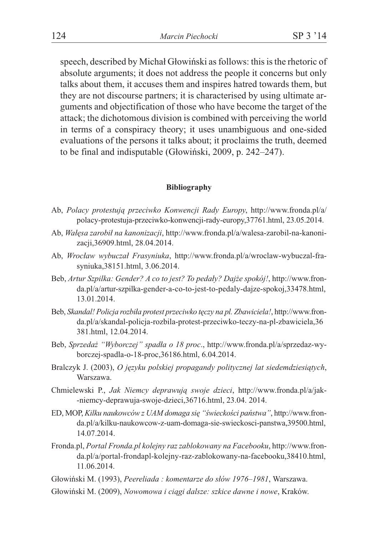speech, described by Michał Głowiński as follows: this is the rhetoric of absolute arguments; it does not address the people it concerns but only talks about them, it accuses them and inspires hatred towards them, but they are not discourse partners; it is characterised by using ultimate arguments and objectification of those who have become the target of the attack; the dichotomous division is combined with perceiving the world in terms of a conspiracy theory; it uses unambiguous and one-sided evaluations of the persons it talks about; it proclaims the truth, deemed to be final and indisputable (Głowiński, 2009, p. 242–247).

#### **Bibliography**

- Ab, Polacy protestują przeciwko Konwencji Rady Europy, http://www.fronda.pl/a/ polacy-protestuja-przeciwko-konwencji-rady-europy,37761.html, 23.05.2014.
- Ab, *Wałęsa zarobił na kanonizacji*, http://www.fronda.pl/a/walesa-zarobil-na-kanonizacji,36909.html, 28.04.2014.
- Ab, *Wroc³aw wybucza³ Frasyniuka*, http://www.fronda.pl/a/wroclaw-wybuczal-frasyniuka,38151.html, 3.06.2014.
- Beb, Artur Szpilka: Gender? A co to jest? To pedały? Dajże spokój!, http://www.fronda.pl/a/artur-szpilka-gender-a-co-to-jest-to-pedaly-dajze-spokoj,33478.html, 13.01.2014.
- Beb, *Skandal! Policja rozbiła protest przeciwko teczy na pl. Zbawiciela!*, http://www.fronda.pl/a/skandal-policja-rozbila-protest-przeciwko-teczy-na-pl-zbawiciela,36 381.html, 12.04.2014.
- Beb, *Sprzeda¿ "Wyborczej" spad³a o 18 proc*., http://www.fronda.pl/a/sprzedaz-wyborczej-spadla-o-18-proc,36186.html, 6.04.2014.
- Bralczyk J. (2003), *O języku polskiej propagandy politycznej lat siedemdziesiątych*, Warszawa.
- Chmielewski P., *Jak Niemcy deprawują swoje dzieci*, http://www.fronda.pl/a/jak--niemcy-deprawuja-swoje-dzieci,36716.html, 23.04. 2014.
- ED, MOP, *Kilku naukowców z UAM domaga siê "œwieckoœci pañstwa"*, http://www.fronda.pl/a/kilku-naukowcow-z-uam-domaga-sie-swieckosci-panstwa,39500.html, 14.07.2014.
- Fronda.pl, *Portal Fronda.pl kolejny raz zablokowany na Facebooku*, http://www.fronda.pl/a/portal-frondapl-kolejny-raz-zablokowany-na-facebooku,38410.html, 11.06.2014.
- Głowiński M. (1993), *Peereliada : komentarze do słów 1976–1981*, Warszawa.
- Głowiński M. (2009), *Nowomowa i ciągi dalsze: szkice dawne i nowe*, Kraków.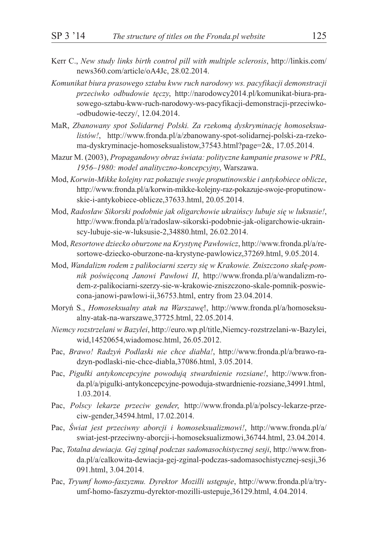- Kerr C., *New study links birth control pill with multiple sclerosis*, http://linkis.com/ news360.com/article/oA4Jc, 28.02.2014.
- *Komunikat biura prasowego sztabu kww ruch narodowy ws. pacyfikacji demonstracji przeciwko odbudowie têczy*, http://narodowcy2014.pl/komunikat-biura-prasowego-sztabu-kww-ruch-narodowy-ws-pacyfikacji-demonstracji-przeciwko- -odbudowie-teczy/, 12.04.2014.
- MaR, Zbanowany spot Solidarnej Polski. Za rzekoma dyskryminacje homoseksua*listów!*, http://www.fronda.pl/a/zbanowany-spot-solidarnej-polski-za-rzekoma-dyskryminacje-homoseksualistow,37543.html?page=2&, 17.05.2014.
- Mazur M. (2003), *Propagandowy obraz świata: polityczne kampanie prasowe w PRL*, *1956–1980: model analityczno-koncepcyjny*, Warszawa.
- Mod, *Korwin-Mikke kolejny raz pokazuje swoje proputinowskie i antykobiece oblicze*, http://www.fronda.pl/a/korwin-mikke-kolejny-raz-pokazuje-swoje-proputinowskie-i-antykobiece-oblicze,37633.html, 20.05.2014.
- Mod, Radosław Sikorski podobnie jak oligarchowie ukraińscy lubuje się w luksusie!, http://www.fronda.pl/a/radoslaw-sikorski-podobnie-jak-oligarchowie-ukrainscy-lubuje-sie-w-luksusie-2,34880.html, 26.02.2014.
- Mod, *Resortowe dziecko oburzone na Krystyne Pawłowicz*, http://www.fronda.pl/a/resortowe-dziecko-oburzone-na-krystyne-pawlowicz,37269.html, 9.05.2014.
- Mod, Wandalizm rodem z palikociarni szerzy się w Krakowie. Zniszczono skałę-pomnik poświęconą Janowi Pawłowi II, http://www.fronda.pl/a/wandalizm-rodem-z-palikociarni-szerzy-sie-w-krakowie-zniszczono-skale-pomnik-poswiecona-janowi-pawlowi-ii,36753.html, entry from 23.04.2014.
- Moryñ S., *Homoseksualny atak na Warszawê*!, http://www.fronda.pl/a/homoseksualny-atak-na-warszawe,37725.html, 22.05.2014.
- *Niemcy rozstrzelani w Bazylei*, http://euro.wp.pl/title,Niemcy-rozstrzelani-w-Bazylei, wid,14520654,wiadomosc.html, 26.05.2012.
- Pac, Brawo! Radzyń Podlaski nie chce diabła!, http://www.fronda.pl/a/brawo-radzyn-podlaski-nie-chce-diabla,37086.html, 3.05.2014.
- Pac, Pigułki antykoncepcyjne powodują stwardnienie rozsiane!, http://www.fronda.pl/a/pigulki-antykoncepcyjne-powoduja-stwardnienie-rozsiane,34991.html, 1.03.2014.
- Pac, *Polscy lekarze przeciw gender*, http://www.fronda.pl/a/polscy-lekarze-przeciw-gender,34594.html, 17.02.2014.
- Pac, *Świat jest przeciwny aborcji i homoseksualizmowi!*, http://www.fronda.pl/a/ swiat-jest-przeciwny-aborcji-i-homoseksualizmowi,36744.html, 23.04.2014.
- Pac, *Totalna dewiacja. Gej zginął podczas sadomasochistycznej sesji*, http://www.fronda.pl/a/calkowita-dewiacja-gej-zginal-podczas-sadomasochistycznej-sesji,36 091.html, 3.04.2014.
- Pac, Tryumf homo-faszyzmu. Dyrektor Mozilli ustępuje, http://www.fronda.pl/a/tryumf-homo-faszyzmu-dyrektor-mozilli-ustepuje,36129.html, 4.04.2014.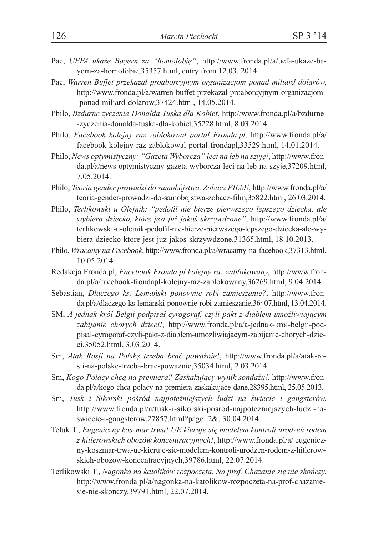- Pac, *UEFA ukaże Bayern za "homofobie"*, http://www.fronda.pl/a/uefa-ukaze-bayern-za-homofobie,35357.html, entry from 12.03. 2014.
- Pac, *Warren Buffet przekazał proaborcyjnym organizacjom ponad miliard dolarów*, http://www.fronda.pl/a/warren-buffet-przekazal-proaborcyjnym-organizacjom- -ponad-miliard-dolarow,37424.html, 14.05.2014.
- Philo, *Bzdurne ¿yczenia Donalda Tuska dla Kobiet*, http://www.fronda.pl/a/bzdurne- -zyczenia-donalda-tuska-dla-kobiet,35228.html, 8.03.2014.
- Philo, *Facebook kolejny raz zablokowa³ portal Fronda.pl*, http://www.fronda.pl/a/ facebook-kolejny-raz-zablokowal-portal-frondapl,33529.html, 14.01.2014.
- Philo, *News optymistyczny: "Gazeta Wyborcza" leci na ³eb na szyjê!*, http://www.fronda.pl/a/news-optymistyczny-gazeta-wyborcza-leci-na-leb-na-szyje,37209.html, 7.05.2014.
- Philo, *Teoria gender prowadzi do samobójstwa. Zobacz FILM!*, http://www.fronda.pl/a/ teoria-gender-prowadzi-do-samobojstwa-zobacz-film,35822.html, 26.03.2014.
- Philo, *Terlikowski u Olejnik: "pedofil nie bierze pierwszego lepszego dziecka, ale wybiera dziecko, które jest już jakoś skrzywdzone"*, http://www.fronda.pl/a/ terlikowski-u-olejnik-pedofil-nie-bierze-pierwszego-lepszego-dziecka-ale-wybiera-dziecko-ktore-jest-juz-jakos-skrzywdzone,31365.html, 18.10.2013.
- Philo, *Wracamy na Facebook*, http://www.fronda.pl/a/wracamy-na-facebook,37313.html, 10.05.2014.
- Redakcja Fronda.pl, *Facebook Fronda.pl kolejny raz zablokowany*, http://www.fronda.pl/a/facebook-frondapl-kolejny-raz-zablokowany,36269.html, 9.04.2014.
- Sebastian, *Dlaczego ks. Lemañski ponownie robi zamieszanie?*, http://www.fronda.pl/a/dlaczego-ks-lemanski-ponownie-robi-zamieszanie,36407.html, 13.04.2014.
- SM, *A jednak król Belgii podpisał cyrogoraf, czyli pakt z diabłem umożliwiającym zabijanie chorych dzieci!*, http://www.fronda.pl/a/a-jednak-krol-belgii-podpisal-cyrogoraf-czyli-pakt-z-diablem-umozliwiajacym-zabijanie-chorych-dzieci,35052.html, 3.03.2014.
- Sm, Atak Rosji na Polske trzeba brać poważnie!, http://www.fronda.pl/a/atak-rosji-na-polske-trzeba-brac-powaznie,35034.html, 2.03.2014.
- Sm, *Kogo Polacy chcq na premiera? Zaskakujący wynik sondażu!*, http://www.fronda.pl/a/kogo-chca-polacy-na-premiera-zaskakujace-dane,28395.html, 25.05.2013.
- Sm, *Tusk i Sikorski pośród najpoteżniejszych ludzi na świecie i gangsterów*, http://www.fronda.pl/a/tusk-i-sikorski-posrod-najpotezniejszych-ludzi-naswiecie-i-gangsterow,27857.html?page=2&, 30.04.2014.
- Teluk T., *Eugeniczny koszmar trwa! UE kieruje siê modelem kontroli urodzeñ rodem z hitlerowskich obozów koncentracyjnych!*, http://www.fronda.pl/a/ eugeniczny-koszmar-trwa-ue-kieruje-sie-modelem-kontroli-urodzen-rodem-z-hitlerowskich-obozow-koncentracyjnych,39786.html, 22.07.2014.
- Terlikowski T., *Nagonka na katolików rozpoczêta. Na prof. Chazanie siê nie skoñczy*, http://www.fronda.pl/a/nagonka-na-katolikow-rozpoczeta-na-prof-chazaniesie-nie-skonczy,39791.html, 22.07.2014.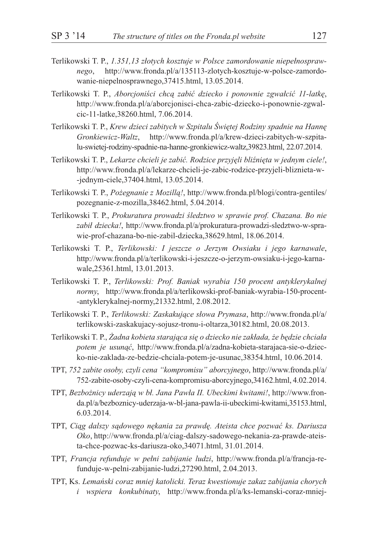- Terlikowski T. P., 1.351,13 złotych kosztuje w Polsce zamordowanie niepełnospraw*nego*, http://www.fronda.pl/a/135113-zlotych-kosztuje-w-polsce-zamordowanie-niepelnosprawnego,37415.html, 13.05.2014.
- Terlikowski T. P., *Aborcjoniści chca zabić dziecko i ponownie zgwałcić 11-latke*, http://www.fronda.pl/a/aborcjonisci-chca-zabic-dziecko-i-ponownie-zgwalcic-11-latke,38260.html, 7.06.2014.
- Terlikowski T. P., *Krew dzieci zabitych w Szpitalu Świętej Rodziny spadnie na Hanne Gronkiewicz-Waltz*, http://www.fronda.pl/a/krew-dzieci-zabitych-w-szpitalu-swietej-rodziny-spadnie-na-hanne-gronkiewicz-waltz,39823.html, 22.07.2014.
- Terlikowski T. P., *Lekarze chcieli je zabić. Rodzice przyjeli bliźnieta w jednym ciele!*, http://www.fronda.pl/a/lekarze-chcieli-je-zabic-rodzice-przyjeli-bliznieta-w- -jednym-ciele,37404.html, 13.05.2014.
- Terlikowski T. P., Pożegnanie z Mozillą!, http://www.fronda.pl/blogi/contra-gentiles/ pozegnanie-z-mozilla,38462.html, 5.04.2014.
- Terlikowski T. P., Prokuratura prowadzi śledztwo w sprawie prof. Chazana. Bo nie *zabi³ dziecka!*, http://www.fronda.pl/a/prokuratura-prowadzi-sledztwo-w-sprawie-prof-chazana-bo-nie-zabil-dziecka,38629.html, 18.06.2014.
- Terlikowski T. P., *Terlikowski: I jeszcze o Jerzym Owsiaku i jego karnawale*, http://www.fronda.pl/a/terlikowski-i-jeszcze-o-jerzym-owsiaku-i-jego-karnawale,25361.html, 13.01.2013.
- Terlikowski T. P., *Terlikowski: Prof. Baniak wyrabia 150 procent antyklerykalnej normy*, http://www.fronda.pl/a/terlikowski-prof-baniak-wyrabia-150-procent- -antyklerykalnej-normy,21332.html, 2.08.2012.
- Terlikowski T. P., *Terlikowski: Zaskakujące słowa Prymasa*, http://www.fronda.pl/a/ terlikowski-zaskakujacy-sojusz-tronu-i-oltarza,30182.html, 20.08.2013.
- Terlikowski T. P., Żadna kobieta starająca się o dziecko nie zakłada, że będzie chciała potem je usunąć, http://www.fronda.pl/a/zadna-kobieta-starajaca-sie-o-dziecko-nie-zaklada-ze-bedzie-chciala-potem-je-usunac,38354.html, 10.06.2014.
- TPT, *752 zabite osoby, czyli cena "kompromisu" aborcyjnego*, http://www.fronda.pl/a/ 752-zabite-osoby-czyli-cena-kompromisu-aborcyjnego,34162.html, 4.02.2014.
- TPT, Bezbożnicy uderzają w bł. Jana Pawła II. Ubeckimi kwitami!, http://www.fronda.pl/a/bezboznicy-uderzaja-w-bl-jana-pawla-ii-ubeckimi-kwitami,35153.html, 6.03.2014.
- TPT, Ciąg dalszy sądowego nękania za prawdę. Ateista chce pozwać ks. Dariusza *Oko*, http://www.fronda.pl/a/ciag-dalszy-sadowego-nekania-za-prawde-ateista-chce-pozwac-ks-dariusza-oko,34071.html, 31.01.2014.
- TPT, *Francja refunduje w pełni zabijanie ludzi*, http://www.fronda.pl/a/francja-refunduje-w-pelni-zabijanie-ludzi,27290.html, 2.04.2013.
- TPT, Ks. *Lemañski coraz mniej katolicki. Teraz kwestionuje zakaz zabijania chorych i wspiera konkubinaty*, http://www.fronda.pl/a/ks-lemanski-coraz-mniej-